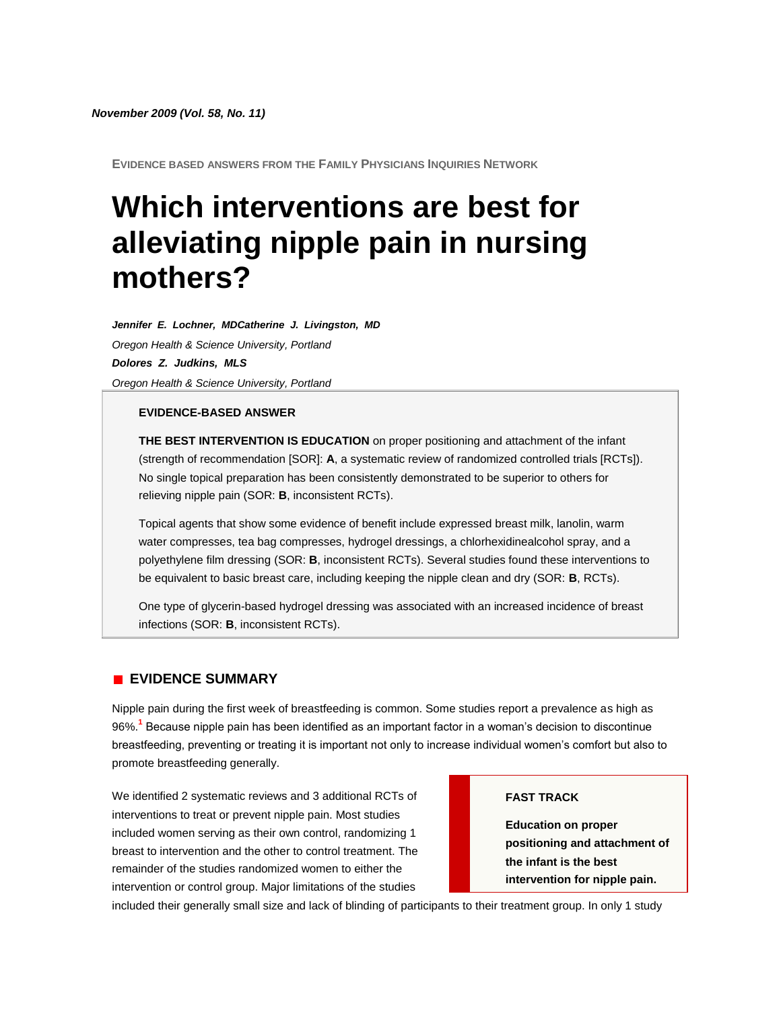**EVIDENCE BASED ANSWERS FROM THE FAMILY PHYSICIANS INQUIRIES NETWORK**

# **Which interventions are best for alleviating nipple pain in nursing mothers?**

*Jennifer E. Lochner, MDCatherine J. Livingston, MD Oregon Health & Science University, Portland Dolores Z. Judkins, MLS Oregon Health & Science University, Portland*

#### **EVIDENCE-BASED ANSWER**

**THE BEST INTERVENTION IS EDUCATION** on proper positioning and attachment of the infant (strength of recommendation [SOR]: **A**, a systematic review of randomized controlled trials [RCTs]). No single topical preparation has been consistently demonstrated to be superior to others for relieving nipple pain (SOR: **B**, inconsistent RCTs).

Topical agents that show some evidence of benefit include expressed breast milk, lanolin, warm water compresses, tea bag compresses, hydrogel dressings, a chlorhexidinealcohol spray, and a polyethylene film dressing (SOR: **B**, inconsistent RCTs). Several studies found these interventions to be equivalent to basic breast care, including keeping the nipple clean and dry (SOR: **B**, RCTs).

One type of glycerin-based hydrogel dressing was associated with an increased incidence of breast infections (SOR: **B**, inconsistent RCTs).

# **EVIDENCE SUMMARY**

Nipple pain during the first week of breastfeeding is common. Some studies report a prevalence as high as 96%[.](http://www.jfponline.com/Pages.asp?AID=8130&issue=November_2009&UID=13886#bib1)**<sup>1</sup>** Because nipple pain has been identified as an important factor in a woman's decision to discontinue breastfeeding, preventing or treating it is important not only to increase individual women's comfort but also to promote breastfeeding generally.

We identified 2 systematic reviews and 3 additional RCTs of interventions to treat or prevent nipple pain. Most studies included women serving as their own control, randomizing 1 breast to intervention and the other to control treatment. The remainder of the studies randomized women to either the intervention or control group. Major limitations of the studies

#### **FAST TRACK**

**Education on proper positioning and attachment of the infant is the best intervention for nipple pain.**

included their generally small size and lack of blinding of participants to their treatment group. In only 1 study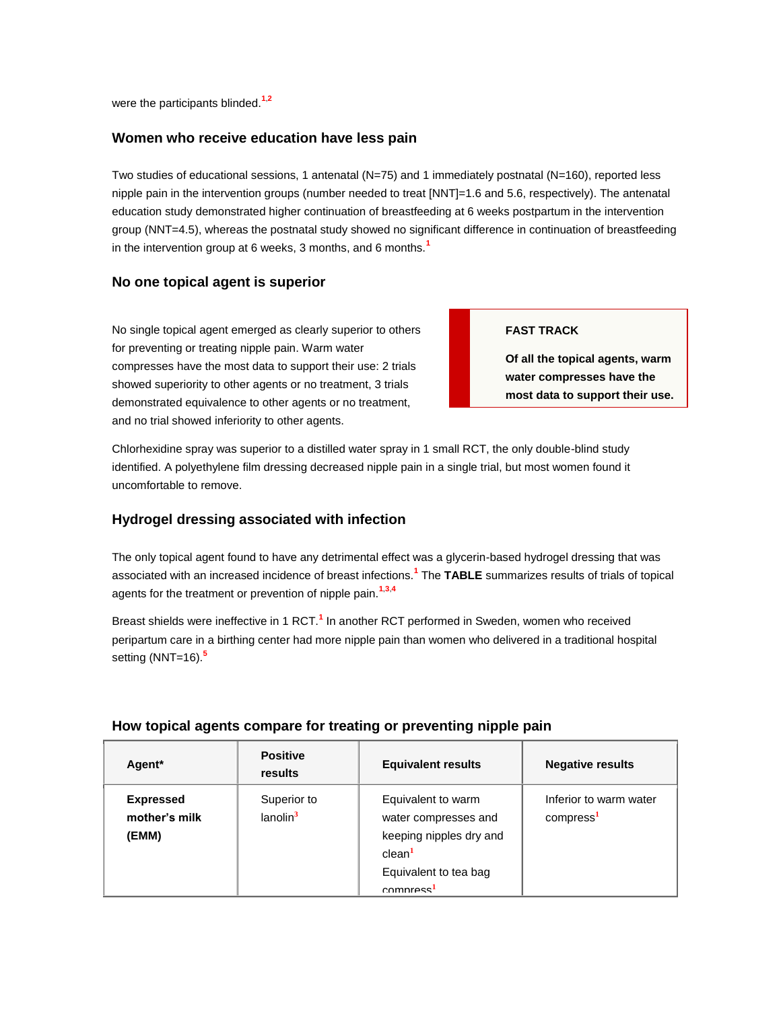were the participants blinded.**[1](http://www.jfponline.com/Pages.asp?AID=8130&issue=November_2009&UID=13886#bib1)**,**[2](http://www.jfponline.com/Pages.asp?AID=8130&issue=November_2009&UID=13886#bib2)**

## **Women who receive education have less pain**

Two studies of educational sessions, 1 antenatal (N=75) and 1 immediately postnatal (N=160), reported less nipple pain in the intervention groups (number needed to treat [NNT]=1.6 and 5.6, respectively). The antenatal education study demonstrated higher continuation of breastfeeding at 6 weeks postpartum in the intervention group (NNT=4.5), whereas the postnatal study showed no significant difference in continuation of breastfeeding in the intervention group at 6 weeks, 3 months, and 6 months.**[1](http://www.jfponline.com/Pages.asp?AID=8130&issue=November_2009&UID=13886#bib1)**

## **No one topical agent is superior**

No single topical agent emerged as clearly superior to others for preventing or treating nipple pain. Warm water compresses have the most data to support their use: 2 trials showed superiority to other agents or no treatment, 3 trials demonstrated equivalence to other agents or no treatment, and no trial showed inferiority to other agents.

#### **FAST TRACK**

**Of all the topical agents, warm water compresses have the most data to support their use.**

Chlorhexidine spray was superior to a distilled water spray in 1 small RCT, the only double-blind study identified. A polyethylene film dressing decreased nipple pain in a single trial, but most women found it uncomfortable to remove.

# **Hydrogel dressing associated with infection**

The only topical agent found to have any detrimental effect was a glycerin-based hydrogel dressing that was associated with an increased incidence of breast infections[.](http://www.jfponline.com/Pages.asp?AID=8130&issue=November_2009&UID=13886#bib1)**<sup>1</sup>** The **[TABLE](http://www.jfponline.com/Pages.asp?AID=8130&issue=November_2009&UID=13886#5811JFP_ClinInq5-tab1)** summarizes results of trials of topical agents for the treatment or prevention of nipple pain.**[1](http://www.jfponline.com/Pages.asp?AID=8130&issue=November_2009&UID=13886#bib1)**,**[3](http://www.jfponline.com/Pages.asp?AID=8130&issue=November_2009&UID=13886#bib3)**,**[4](http://www.jfponline.com/Pages.asp?AID=8130&issue=November_2009&UID=13886#bib4)**

Breast shields were ineffective in [1](http://www.jfponline.com/Pages.asp?AID=8130&issue=November_2009&UID=13886#bib1) RCT.<sup>1</sup> In another RCT performed in Sweden, women who received peripartum care in a birthing center had more nipple pain than women who delivered in a traditional hospital setting (NNT=16).**[5](http://www.jfponline.com/Pages.asp?AID=8130&issue=November_2009&UID=13886#bib5)**

| Agent*                                     | <b>Positive</b><br>results          | <b>Equivalent results</b>                                                                                                                     | <b>Negative results</b>                         |
|--------------------------------------------|-------------------------------------|-----------------------------------------------------------------------------------------------------------------------------------------------|-------------------------------------------------|
| <b>Expressed</b><br>mother's milk<br>(EMM) | Superior to<br>lanolin <sup>3</sup> | Equivalent to warm<br>water compresses and<br>keeping nipples dry and<br>clean <sup>1</sup><br>Equivalent to tea bag<br>compress <sup>1</sup> | Inferior to warm water<br>compress <sup>1</sup> |

## **How topical agents compare for treating or preventing nipple pain**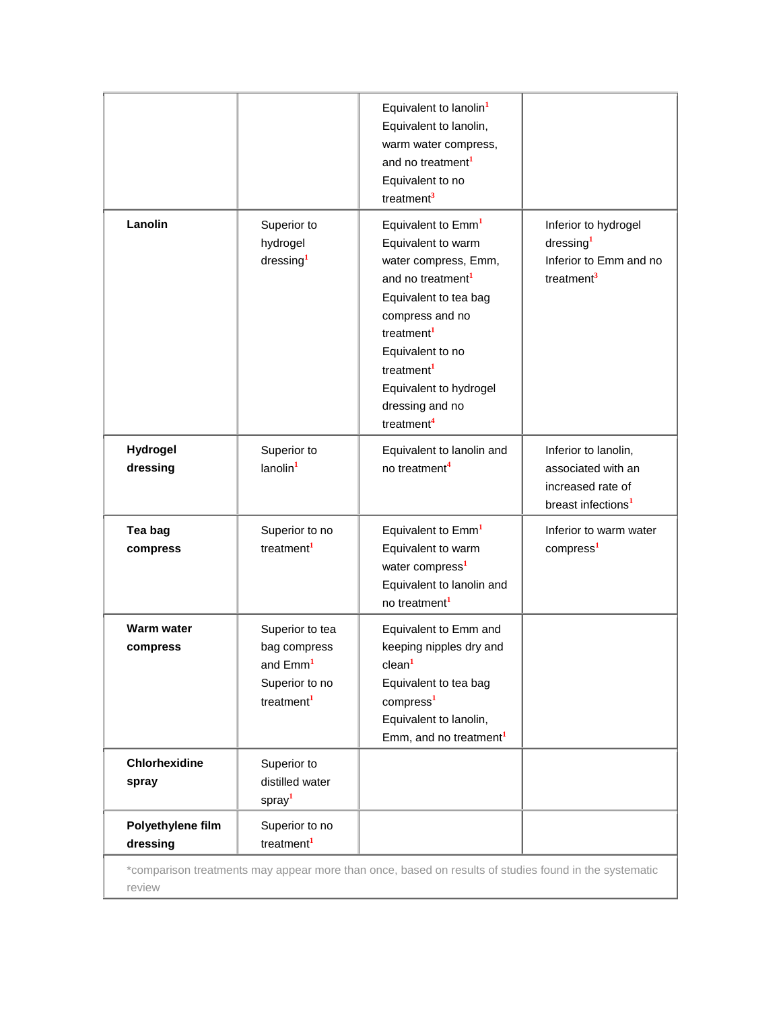|                               |                                                                                                     | Equivalent to lanolin <sup>1</sup><br>Equivalent to lanolin,<br>warm water compress,<br>and no treatment <sup>1</sup><br>Equivalent to no<br>treatment <sup>3</sup>                                                                                                                                      |                                                                                                   |
|-------------------------------|-----------------------------------------------------------------------------------------------------|----------------------------------------------------------------------------------------------------------------------------------------------------------------------------------------------------------------------------------------------------------------------------------------------------------|---------------------------------------------------------------------------------------------------|
| Lanolin                       | Superior to<br>hydrogel<br>dressing <sup>1</sup>                                                    | Equivalent to Emm <sup>1</sup><br>Equivalent to warm<br>water compress, Emm,<br>and no treatment <sup>1</sup><br>Equivalent to tea bag<br>compress and no<br>treatment <sup>1</sup><br>Equivalent to no<br>treatment <sup>1</sup><br>Equivalent to hydrogel<br>dressing and no<br>treatment <sup>4</sup> | Inferior to hydrogel<br>dressing <sup>1</sup><br>Inferior to Emm and no<br>treatment <sup>3</sup> |
| Hydrogel<br>dressing          | Superior to<br>lanolin <sup>1</sup>                                                                 | Equivalent to lanolin and<br>no treatment <sup>4</sup>                                                                                                                                                                                                                                                   | Inferior to lanolin,<br>associated with an<br>increased rate of<br>breast infections <sup>1</sup> |
| Tea bag<br>compress           | Superior to no<br>treatment <sup>1</sup>                                                            | Equivalent to Emm <sup>1</sup><br>Equivalent to warm<br>water compress <sup>1</sup><br>Equivalent to lanolin and<br>no treatment <sup>1</sup>                                                                                                                                                            | Inferior to warm water<br>compress <sup>1</sup>                                                   |
| Warm water<br>compress        | Superior to tea<br>bag compress<br>and Emm <sup>1</sup><br>Superior to no<br>treatment <sup>1</sup> | Equivalent to Emm and<br>keeping nipples dry and<br>clean <sup>1</sup><br>Equivalent to tea bag<br>compress <sup>1</sup><br>Equivalent to lanolin,<br>Emm, and no treatment <sup>1</sup>                                                                                                                 |                                                                                                   |
| <b>Chlorhexidine</b><br>spray | Superior to<br>distilled water<br>spray <sup>1</sup>                                                |                                                                                                                                                                                                                                                                                                          |                                                                                                   |
| Polyethylene film             | Superior to no                                                                                      |                                                                                                                                                                                                                                                                                                          |                                                                                                   |